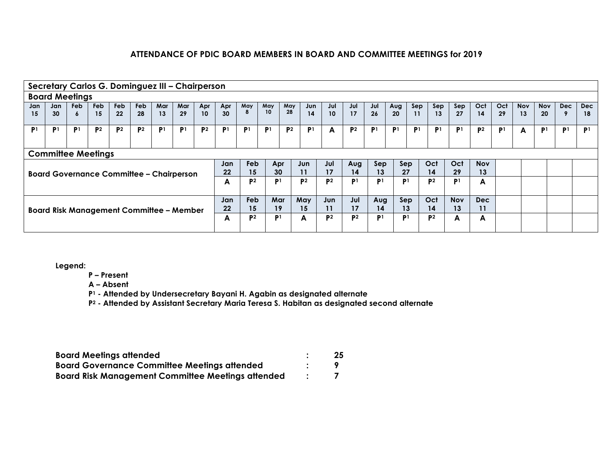|                | Secretary Carlos G. Dominguez III - Chairperson |                |                |                |                |                |                |                |                 |                |                        |                |                |                 |                |                |                |                |                |                |                |                |            |                |                |                |
|----------------|-------------------------------------------------|----------------|----------------|----------------|----------------|----------------|----------------|----------------|-----------------|----------------|------------------------|----------------|----------------|-----------------|----------------|----------------|----------------|----------------|----------------|----------------|----------------|----------------|------------|----------------|----------------|----------------|
|                | <b>Board Meetings</b>                           |                |                |                |                |                |                |                |                 |                |                        |                |                |                 |                |                |                |                |                |                |                |                |            |                |                |                |
| Jan            | Jan                                             | Feb            | Feb            | <b>Feb</b>     | <b>Feb</b>     | Mar            | Mar            | Apr<br>10      | Apr             | May<br>8       | May<br>10 <sup>°</sup> | May<br>28      | Jun            | Jul             | Jul            | Jul            | Aug            | Sep            | Sep            | Sep            | Oct            | Oct            | <b>Nov</b> | <b>Nov</b>     | <b>Dec</b>     | Dec            |
| 15             | 30                                              | 6              | 15             | 22             | 28             | 13             | 29             |                | 30 <sup>°</sup> |                |                        |                | 14             | 10 <sup>°</sup> | 17             | 26             | 20             | 11             | 13             | 27             | 14             | 29             | 13         | 20             |                | 18             |
| P <sub>1</sub> | P1                                              | P <sub>1</sub> | P <sub>2</sub> | P <sup>2</sup> | P <sup>2</sup> | P <sub>1</sub> | P <sup>1</sup> | P <sup>2</sup> | P <sup>1</sup>  | P <sup>1</sup> | P <sub>1</sub>         | P <sup>2</sup> | P <sub>1</sub> | A               | <b>P2</b>      | P <sub>1</sub> | P <sup>1</sup> | P <sup>1</sup> | P <sub>1</sub> | P <sup>1</sup> | P <sub>2</sub> | P <sub>1</sub> | A          | P <sub>1</sub> | P <sub>1</sub> | P <sup>1</sup> |
|                |                                                 |                |                |                |                |                |                |                |                 |                |                        |                |                |                 |                |                |                |                |                |                |                |                |            |                |                |                |
|                | <b>Committee Meetings</b>                       |                |                |                |                |                |                |                |                 |                |                        |                |                |                 |                |                |                |                |                |                |                |                |            |                |                |                |
|                |                                                 |                |                |                |                |                |                |                | Jan             | Feb            | Apr                    |                | Jun            | Jul             | Aug            | Sep            |                | Sep            | Oct            | Oct            | <b>Nov</b>     |                |            |                |                |                |
|                | <b>Board Governance Committee - Chairperson</b> |                |                |                |                |                |                |                | 22              | 15             | 30                     |                | 11             | 17              | 14             | 13             | 27             |                | 14             | 29             | 13             |                |            |                |                |                |
|                |                                                 |                |                |                |                |                |                |                | A               | P <sub>2</sub> | P <sub>1</sub>         |                | P <sub>2</sub> | P <sub>2</sub>  | P <sub>1</sub> | P <sub>1</sub> | P <sub>1</sub> |                | P <sub>2</sub> | P <sup>1</sup> | A              |                |            |                |                |                |
|                |                                                 |                |                |                |                |                |                |                |                 |                |                        |                |                |                 |                |                |                |                |                |                |                |                |            |                |                |                |
|                |                                                 |                |                |                |                |                |                |                | Jan             | Feb            | Mar                    |                | May            | Jun             | Jul            | Aug            | Sep            |                | Oct            | <b>Nov</b>     | Dec            |                |            |                |                |                |
|                | <b>Board Risk Management Committee - Member</b> |                |                |                |                |                |                |                | 22              | 15             | 19                     |                | 15             | 11              | 17             | 14             | 13             |                | 14             | 13             | 11             |                |            |                |                |                |
|                |                                                 |                |                |                |                |                |                |                | A               | P <sub>2</sub> | P <sub>1</sub>         |                | A              | P <sub>2</sub>  | P <sub>2</sub> | P <sub>1</sub> | P <sub>1</sub> |                | <b>P2</b>      | A              | A              |                |            |                |                |                |
|                |                                                 |                |                |                |                |                |                |                |                 |                |                        |                |                |                 |                |                |                |                |                |                |                |                |            |                |                |                |

**Legend:**

**P – Present**

**A – Absent**

**P1 - Attended by Undersecretary Bayani H. Agabin as designated alternate**

**P2 - Attended by Assistant Secretary Maria Teresa S. Habitan as designated second alternate**

| <b>Board Meetings attended</b>                           | 25 |
|----------------------------------------------------------|----|
| <b>Board Governance Committee Meetings attended</b>      |    |
| <b>Board Risk Management Committee Meetings attended</b> |    |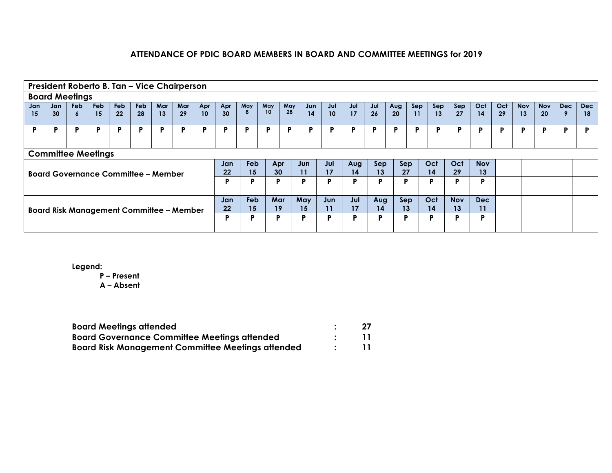|     | President Roberto B. Tan - Vice Chairperson     |            |            |     |            |     |     |     |                 |          |                        |                 |     |                 |     |     |     |     |     |            |            |     |            |            |            |     |
|-----|-------------------------------------------------|------------|------------|-----|------------|-----|-----|-----|-----------------|----------|------------------------|-----------------|-----|-----------------|-----|-----|-----|-----|-----|------------|------------|-----|------------|------------|------------|-----|
|     | <b>Board Meetings</b>                           |            |            |     |            |     |     |     |                 |          |                        |                 |     |                 |     |     |     |     |     |            |            |     |            |            |            |     |
| Jan | Jan                                             | <b>Feb</b> | <b>Feb</b> | Feb | <b>Feb</b> | Mar | Mar | Apr | Apr             | May<br>8 | May<br>10 <sup>°</sup> | May<br>28       | Jun | Jul             | Jul | Jul | Aug | Sep | Sep | Sep        | Oct        | Oct | <b>Nov</b> | <b>Nov</b> | <b>Dec</b> | Dec |
| 15  | 30 <sup>°</sup>                                 | $\bullet$  | 15         | 22  | 28         | 13  | 29  | 10  | 30 <sup>°</sup> |          |                        |                 | 14  | 10 <sup>°</sup> | 17  | 26  | 20  | 11  | 13  | 27         | 14         | 29  | 13         | 20         |            | 18  |
| P   | P                                               | P          | P          | P   | P          | D   | D   | D   | P               | D        | D                      | Þ               | D   | D               | D   | D   | D   | D   |     | Р          |            | P   |            |            | P          | D   |
|     |                                                 |            |            |     |            |     |     |     |                 |          |                        |                 |     |                 |     |     |     |     |     |            |            |     |            |            |            |     |
|     | <b>Committee Meetings</b>                       |            |            |     |            |     |     |     |                 |          |                        |                 |     |                 |     |     |     |     |     |            |            |     |            |            |            |     |
|     |                                                 |            |            |     |            |     |     |     | Jan             | Feb      |                        | Apr             | Jun | Jul             | Aug | Sep | Sep |     | Oct | Oct        | <b>Nov</b> |     |            |            |            |     |
|     | <b>Board Governance Committee - Member</b>      |            |            |     |            |     |     |     | 22              | 15       |                        | 30 <sup>°</sup> | 11  | 17              | 14  | 13  | 27  |     | 14  | 29         | 13         |     |            |            |            |     |
|     |                                                 |            |            |     |            |     |     |     | P               | Þ        | D                      |                 | P   | Þ               | D   | P   | P   |     | D   | D          | Р          |     |            |            |            |     |
|     |                                                 |            |            |     |            |     |     |     |                 |          |                        |                 |     |                 |     |     |     |     |     |            |            |     |            |            |            |     |
|     |                                                 |            |            |     |            |     |     |     | Jan             | Feb      | <b>Mar</b>             |                 | May | Jun             | Jul | Aug | Sep |     | Oct | <b>Nov</b> | <b>Dec</b> |     |            |            |            |     |
|     | <b>Board Risk Management Committee - Member</b> |            |            |     |            |     |     |     | 22              | 15       | 19                     |                 | 15  | 11              | 17  | 14  | 13  |     | 14  | 13         | 11         |     |            |            |            |     |
|     |                                                 |            |            |     |            |     |     |     | Þ               | D        | D                      |                 | Þ   | Þ               | D   | Þ   | Þ   |     | D   | D          | Р          |     |            |            |            |     |
|     |                                                 |            |            |     |            |     |     |     |                 |          |                        |                 |     |                 |     |     |     |     |     |            |            |     |            |            |            |     |

**Legend:**

**P – Present**

| <b>Board Meetings attended</b>                           | 27 |
|----------------------------------------------------------|----|
| <b>Board Governance Committee Meetings attended</b>      | 11 |
| <b>Board Risk Management Committee Meetings attended</b> | 11 |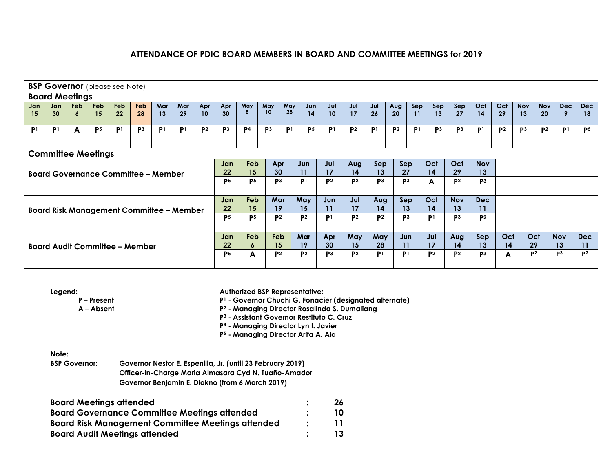|                | <b>BSP Governor</b> (please see Note)                                                                                                                                                                                                                                                                                          |                 |                  |                  |                  |                |           |                |                |                |                  |                |                |                |                |                |                |                |                |                |                |                |                  |                  |                  |                  |
|----------------|--------------------------------------------------------------------------------------------------------------------------------------------------------------------------------------------------------------------------------------------------------------------------------------------------------------------------------|-----------------|------------------|------------------|------------------|----------------|-----------|----------------|----------------|----------------|------------------|----------------|----------------|----------------|----------------|----------------|----------------|----------------|----------------|----------------|----------------|----------------|------------------|------------------|------------------|------------------|
|                | <b>Board Meetings</b>                                                                                                                                                                                                                                                                                                          |                 |                  |                  |                  |                |           |                |                |                |                  |                |                |                |                |                |                |                |                |                |                |                |                  |                  |                  |                  |
| Jan<br>15      | Jan<br>30 <sup>°</sup>                                                                                                                                                                                                                                                                                                         | <b>Feb</b><br>6 | <b>Feb</b><br>15 | <b>Feb</b><br>22 | <b>Feb</b><br>28 | Mar<br>13      | Mar<br>29 | Apr<br>10      | Apr<br>30      | May<br>8       | May<br>10        | May<br>28      | Jun<br>14      | Jul<br>10      | Jul<br>17      | Jul<br>26      | Aug<br>20      | Sep<br>11      | Sep<br>13      | Sep<br>27      | Oct<br>14      | Oct<br>29      | <b>Nov</b><br>13 | <b>Nov</b><br>20 | Dec              | <b>Dec</b><br>18 |
| P <sub>1</sub> | P <sup>1</sup>                                                                                                                                                                                                                                                                                                                 | A               | P <sub>5</sub>   | P <sup>1</sup>   | P <sub>3</sub>   | P <sub>1</sub> | P1        | P <sup>2</sup> | P <sup>3</sup> | P <sub>4</sub> | P <sub>3</sub>   | P <sup>1</sup> | P <sub>5</sub> | P <sub>1</sub> | P <sup>2</sup> | P <sup>1</sup> | P <sup>2</sup> | P <sup>1</sup> | P <sub>3</sub> | P <sup>3</sup> | P <sub>1</sub> | P <sup>2</sup> | P <sub>3</sub>   | P <sub>2</sub>   | P <sub>1</sub>   | P <sub>5</sub>   |
|                |                                                                                                                                                                                                                                                                                                                                |                 |                  |                  |                  |                |           |                |                |                |                  |                |                |                |                |                |                |                |                |                |                |                |                  |                  |                  |                  |
|                | <b>Committee Meetings</b><br>Oct<br><b>Feb</b><br>Jul<br>Oct<br><b>Nov</b><br>Apr<br>Jun<br>Sep<br>Sep<br>Jan<br>Aug<br>30<br>17<br>13<br>27<br>29<br>13<br>22<br>15<br>11<br>14<br>14<br><b>Board Governance Committee - Member</b><br>P <sub>3</sub><br>P <sub>5</sub><br>P <sub>2</sub><br>P <sup>2</sup><br>P <sub>3</sub> |                 |                  |                  |                  |                |           |                |                |                |                  |                |                |                |                |                |                |                |                |                |                |                |                  |                  |                  |                  |
|                |                                                                                                                                                                                                                                                                                                                                |                 |                  |                  |                  |                |           |                | P <sub>5</sub> |                |                  |                | P <sup>1</sup> |                |                | P <sup>3</sup> |                |                | A              | P <sup>2</sup> | P <sub>3</sub> |                |                  |                  |                  |                  |
|                |                                                                                                                                                                                                                                                                                                                                |                 |                  |                  |                  |                |           |                | Jan            | <b>Feb</b>     | Mar              |                | May            | Jun            | Jul            | Aug            | Sep            |                | Oct            | <b>Nov</b>     | <b>Dec</b>     |                |                  |                  |                  |                  |
|                | <b>Board Risk Management Committee - Member</b>                                                                                                                                                                                                                                                                                |                 |                  |                  |                  |                |           |                | 22             | 15             | 19               |                | 15             | 11             | 17             | 14             | 13             |                | 14             | 13             | 11             |                |                  |                  |                  |                  |
|                |                                                                                                                                                                                                                                                                                                                                |                 |                  |                  |                  |                |           |                | P <sub>5</sub> | <b>P5</b>      | <b>P2</b>        |                | P <sub>2</sub> | P <sub>1</sub> | P <sub>2</sub> | P <sub>2</sub> | P <sub>3</sub> |                | P <sub>1</sub> | P <sub>3</sub> | P <sup>2</sup> |                |                  |                  |                  |                  |
|                | <b>Board Audit Committee - Member</b>                                                                                                                                                                                                                                                                                          |                 |                  |                  |                  |                |           |                | Jan<br>$22 \,$ | Feb<br>6       | <b>Feb</b><br>15 |                | Mar<br>19      | Apr<br>30      | May<br>15      | May<br>28      | Jun<br>11      |                | Jul<br>17      | Aug<br>14      | Sep<br>13      | Oct<br>14      | Oct<br>29        |                  | <b>Nov</b><br>13 | <b>Dec</b><br>11 |
|                |                                                                                                                                                                                                                                                                                                                                |                 |                  |                  |                  |                |           |                | P <sub>5</sub> | A              | P <sub>2</sub>   |                | <b>P2</b>      | P <sub>3</sub> | P <sub>2</sub> | P <sub>1</sub> | P <sub>1</sub> |                | P <sub>2</sub> | P <sub>2</sub> | P <sub>3</sub> | A              | P <sup>2</sup>   |                  | P <sub>3</sub>   | D <sub>2</sub>   |

**Legend:**

**P – Present A – Absent** **Authorized BSP Representative:**

**P1 - Governor Chuchi G. Fonacier (designated alternate)**

**P2 - Managing Director Rosalinda S. Dumaliang** 

**P3 - Assistant Governor Restituto C. Cruz** 

**P4 - Managing Director Lyn I. Javier** 

**P5 - Managing Director Arifa A. Ala** 

**Note:**

**BSP Governor: Governor Nestor E. Espenilla, Jr. (until 23 February 2019) Officer-in-Charge Maria Almasara Cyd N. Tuaño-Amador Governor Benjamin E. Diokno (from 6 March 2019)**

| <b>Board Meetings attended</b>                           | 26 |
|----------------------------------------------------------|----|
| <b>Board Governance Committee Meetings attended</b>      | 10 |
| <b>Board Risk Management Committee Meetings attended</b> | 11 |
| <b>Board Audit Meetings attended</b>                     | 13 |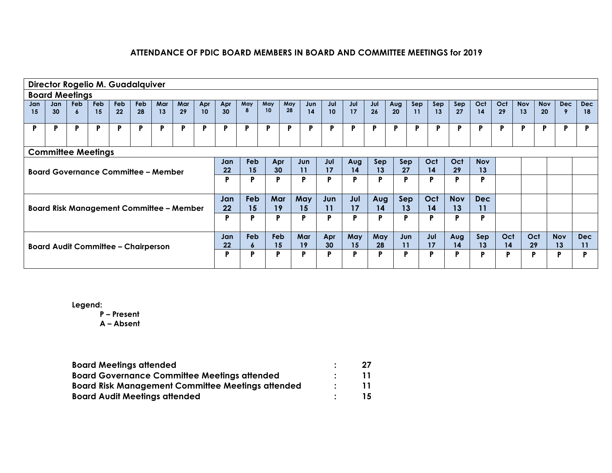|           | Director Rogelio M. Guadalquiver                                                                                                                                                                 |            |            |                  |                  |     |     |     |           |                     |           |           |           |     |     |           |     |     |     |            |            |     |            |            |            |            |
|-----------|--------------------------------------------------------------------------------------------------------------------------------------------------------------------------------------------------|------------|------------|------------------|------------------|-----|-----|-----|-----------|---------------------|-----------|-----------|-----------|-----|-----|-----------|-----|-----|-----|------------|------------|-----|------------|------------|------------|------------|
|           | <b>Board Meetings</b>                                                                                                                                                                            |            |            |                  |                  |     |     |     |           |                     |           |           |           |     |     |           |     |     |     |            |            |     |            |            |            |            |
| Jan<br>15 | Jan<br>30                                                                                                                                                                                        | <b>Feb</b> | <b>Feb</b> | <b>Feb</b><br>22 | <b>Feb</b><br>28 | Mar | Mar | Apr | Apr<br>30 | May<br>8            | May<br>10 | May<br>28 | Jun<br>14 | Jul | Jul | Jul<br>26 | Aug | Sep | Sep | Sep<br>27  | Oct        | Oct | <b>Nov</b> | <b>Nov</b> | Dec        | Dec        |
|           |                                                                                                                                                                                                  | 6          | 15         |                  |                  | 13  | 29  | 10  |           |                     |           |           |           | 10  | 17  |           | 20  | 11  | 13  |            | 14         | 29  | 13         | 20         | -9         | 18         |
| P         | P                                                                                                                                                                                                | P          | P          | P                | P                | P   | P   | P   | P         | P                   | P         | P         | D         | D   | D   | Þ         | P   | P   | P   | P          | P          | P   | P          | P          | P          | Þ          |
|           |                                                                                                                                                                                                  |            |            |                  |                  |     |     |     |           |                     |           |           |           |     |     |           |     |     |     |            |            |     |            |            |            |            |
|           | <b>Committee Meetings</b>                                                                                                                                                                        |            |            |                  |                  |     |     |     |           |                     |           |           |           |     |     |           |     |     |     |            |            |     |            |            |            |            |
|           | Feb<br>Oct<br>Sep<br>Oct<br><b>Nov</b><br>Jun<br>Jul<br>Sep<br>Jan<br>Apr<br>Aug<br>22<br>15<br>30<br>27<br>29<br>13<br>11<br>17<br>14<br>13<br>14<br><b>Board Governance Committee - Member</b> |            |            |                  |                  |     |     |     |           |                     |           |           |           |     |     |           |     |     |     |            |            |     |            |            |            |            |
|           |                                                                                                                                                                                                  |            |            |                  |                  |     |     |     |           |                     |           |           |           |     |     |           |     |     |     |            |            |     |            |            |            |            |
|           |                                                                                                                                                                                                  |            |            |                  |                  |     |     |     | Þ         | P                   | D         |           | P         | P   | P   | P         | P   |     | P   | P          | P          |     |            |            |            |            |
|           |                                                                                                                                                                                                  |            |            |                  |                  |     |     |     | Jan       | <b>Feb</b>          | Mar       |           | May       | Jun | Jul | Aug       | Sep |     | Oct | <b>Nov</b> | <b>Dec</b> |     |            |            |            |            |
|           | <b>Board Risk Management Committee - Member</b>                                                                                                                                                  |            |            |                  |                  |     |     |     | 22        | 15                  | 19        |           | 15        | 11  | 17  | 14        | 13  |     | 14  | 13         | 11         |     |            |            |            |            |
|           |                                                                                                                                                                                                  |            |            |                  |                  |     |     |     | P         | P                   | D         |           | P         | P   | P   | P         | P   |     | P   | P          | P          |     |            |            |            |            |
|           |                                                                                                                                                                                                  |            |            |                  |                  |     |     |     | Jan       | <b>Feb</b>          | Feb       |           | Mar       | Apr | May | May       | Jun |     | Jul | Aug        | Sep        | Oct | Oct        |            | <b>Nov</b> | <b>Dec</b> |
|           | <b>Board Audit Committee - Chairperson</b>                                                                                                                                                       |            |            |                  |                  |     |     |     | 22        | $\ddot{\mathbf{6}}$ | 15        |           | 19        | 30  | 15  | 28        | 11  |     | 17  | 14         | 13         | 14  | 29         |            | 13         | 11         |
|           |                                                                                                                                                                                                  |            |            |                  |                  |     |     |     | P         | P                   | D         |           | P         | P   | D   | P         | P   |     | P   | P          | P          | Þ   | P          |            | P          | D          |
|           |                                                                                                                                                                                                  |            |            |                  |                  |     |     |     |           |                     |           |           |           |     |     |           |     |     |     |            |            |     |            |            |            |            |

**Legend:**

**P – Present**

| <b>Board Meetings attended</b>                           | 27 |
|----------------------------------------------------------|----|
| <b>Board Governance Committee Meetings attended</b>      | 11 |
| <b>Board Risk Management Committee Meetings attended</b> | 11 |
| <b>Board Audit Meetings attended</b>                     | 15 |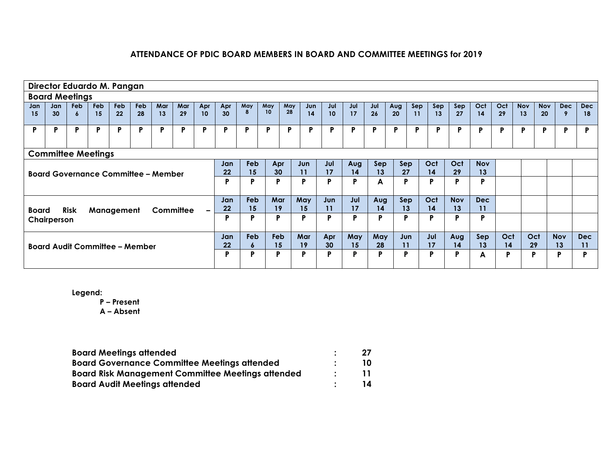|           | Director Eduardo M. Pangan                                                                                                                                                                                                    |          |                  |           |                                       |           |           |           |           |          |           |           |           |           |           |           |           |           |           |            |           |           |                  |                  |                  |                  |
|-----------|-------------------------------------------------------------------------------------------------------------------------------------------------------------------------------------------------------------------------------|----------|------------------|-----------|---------------------------------------|-----------|-----------|-----------|-----------|----------|-----------|-----------|-----------|-----------|-----------|-----------|-----------|-----------|-----------|------------|-----------|-----------|------------------|------------------|------------------|------------------|
|           | <b>Board Meetings</b>                                                                                                                                                                                                         |          |                  |           |                                       |           |           |           |           |          |           |           |           |           |           |           |           |           |           |            |           |           |                  |                  |                  |                  |
| Jan<br>15 | Jan<br>30 <sup>°</sup>                                                                                                                                                                                                        | Feb<br>6 | <b>Feb</b><br>15 | Feb<br>22 | Feb<br>28                             | Mar<br>13 | Mar<br>29 | Apr<br>10 | Apr<br>30 | May<br>8 | May<br>10 | May<br>28 | Jun<br>14 | Jul<br>10 | Jul<br>17 | Jul<br>26 | Aug<br>20 | Sep<br>11 | Sep<br>13 | Sep<br>27  | Oct<br>14 | Oct<br>29 | <b>Nov</b><br>13 | <b>Nov</b><br>20 | <b>Dec</b><br>9  | <b>Dec</b><br>18 |
| P         | P                                                                                                                                                                                                                             | P        | P                | P         | P                                     | P         | P         | P         | P         | Þ        | D         | P         | P         | P         | P         | P         | P         | P         | P         | P          | P         | P         | P                | P                | P                | Þ                |
|           |                                                                                                                                                                                                                               |          |                  |           |                                       |           |           |           |           |          |           |           |           |           |           |           |           |           |           |            |           |           |                  |                  |                  |                  |
|           | <b>Committee Meetings</b><br>Feb<br>Oct<br>Jul<br>Oct<br><b>Nov</b><br>Jun<br>Sep<br>Sep<br>Jan<br>Apr<br>Aug<br>13<br>15<br>30<br>11<br>17<br>27<br>29<br>13<br>22<br>14<br>14<br><b>Board Governance Committee - Member</b> |          |                  |           |                                       |           |           |           |           |          |           |           |           |           |           |           |           |           |           |            |           |           |                  |                  |                  |                  |
|           |                                                                                                                                                                                                                               |          |                  |           |                                       |           |           |           | P         | P        | P         |           | P         | P         | D         | A         | P         |           | P         | P          | P         |           |                  |                  |                  |                  |
|           |                                                                                                                                                                                                                               |          |                  |           |                                       |           |           |           | Jan       | Feb      | Mar       |           | May       | Jun       | Jul       | Aug       | Sep       |           | Oct       | <b>Nov</b> | Dec       |           |                  |                  |                  |                  |
| Board     |                                                                                                                                                                                                                               | Risk     | Management       |           |                                       | Committee |           | $\sim$    | 22        | 15       | 19        |           | 15        | 11        | 17        | 14        | 13        |           | 14        | 13         | 11        |           |                  |                  |                  |                  |
|           | Chairperson                                                                                                                                                                                                                   |          |                  |           |                                       |           |           |           | P         | P        | P         |           | P         | P         | D         | P         | P         |           | P         | P          | P         |           |                  |                  |                  |                  |
|           |                                                                                                                                                                                                                               |          |                  |           | <b>Board Audit Committee - Member</b> |           |           |           | Jan<br>22 | Feb<br>6 | Feb<br>15 |           | Mar<br>19 | Apr<br>30 | May<br>15 | May<br>28 | Jun<br>11 |           | Jul<br>17 | Aug<br>14  | Sep<br>13 | Oct<br>14 | Oct<br>29        |                  | <b>Nov</b><br>13 | <b>Dec</b><br>11 |
|           |                                                                                                                                                                                                                               |          |                  |           |                                       |           |           |           | P         | P        | P         |           | P         | P         | D         | P         | P         |           | P         | P          | A         | P         | Þ                |                  | P                | D                |

**Legend:**

**P – Present**

| <b>Board Meetings attended</b>                           | 27 |
|----------------------------------------------------------|----|
| <b>Board Governance Committee Meetings attended</b>      | 10 |
| <b>Board Risk Management Committee Meetings attended</b> | 11 |
| <b>Board Audit Meetings attended</b>                     | 14 |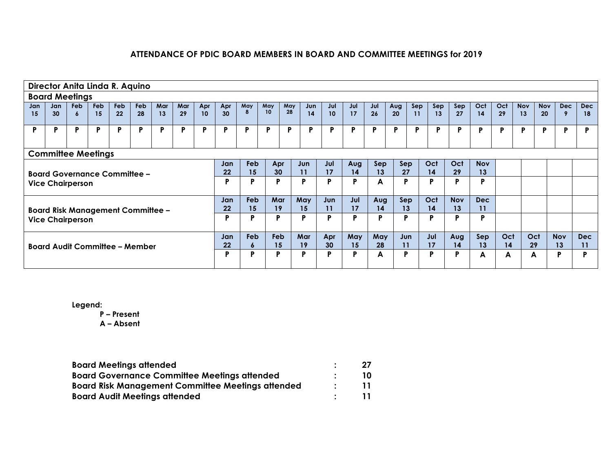|           | Director Anita Linda R. Aquino                                                                                                                                                                                                             |          |                  |                  |                  |           |           |           |           |                 |           |           |           |           |           |           |           |           |           |            |            |           |                  |                  |                  |                  |
|-----------|--------------------------------------------------------------------------------------------------------------------------------------------------------------------------------------------------------------------------------------------|----------|------------------|------------------|------------------|-----------|-----------|-----------|-----------|-----------------|-----------|-----------|-----------|-----------|-----------|-----------|-----------|-----------|-----------|------------|------------|-----------|------------------|------------------|------------------|------------------|
|           | <b>Board Meetings</b>                                                                                                                                                                                                                      |          |                  |                  |                  |           |           |           |           |                 |           |           |           |           |           |           |           |           |           |            |            |           |                  |                  |                  |                  |
| Jan<br>15 | Jan<br>30                                                                                                                                                                                                                                  | Feb<br>6 | <b>Feb</b><br>15 | <b>Feb</b><br>22 | <b>Feb</b><br>28 | Mar<br>13 | Mar<br>29 | Apr<br>10 | Apr<br>30 | May<br>8        | May<br>10 | May<br>28 | Jun<br>14 | Jul<br>10 | Jul<br>17 | Jul<br>26 | Aug<br>20 | Sep<br>11 | Sep<br>13 | Sep<br>27  | Oct<br>14  | Oct<br>29 | <b>Nov</b><br>13 | <b>Nov</b><br>20 | Dec<br>-9        | <b>Dec</b><br>18 |
| P         | P                                                                                                                                                                                                                                          | P        | P                | P                | P                | Þ         | D         | Þ         | P         | D               | D         | P         | D         | P         | P         | P         | P         | P         | P         | Þ          | P          | P         | P                | P                | Þ                | Þ                |
|           |                                                                                                                                                                                                                                            |          |                  |                  |                  |           |           |           |           |                 |           |           |           |           |           |           |           |           |           |            |            |           |                  |                  |                  |                  |
|           | <b>Committee Meetings</b><br><b>Feb</b><br>Oct<br>Jun<br>Jul<br>Sep<br>Oct<br><b>Nov</b><br>Apr<br>Sep<br>Jan<br>Aug<br>13<br>29<br>22<br>15<br>30 <sup>°</sup><br>17<br>14<br>27<br>14<br>13<br>11<br><b>Board Governance Committee -</b> |          |                  |                  |                  |           |           |           |           |                 |           |           |           |           |           |           |           |           |           |            |            |           |                  |                  |                  |                  |
|           | <b>Vice Chairperson</b>                                                                                                                                                                                                                    |          |                  |                  |                  |           |           |           | P         | D               | P         |           | P         | P         | P         | A         | P         |           | D         | P          | P          |           |                  |                  |                  |                  |
|           |                                                                                                                                                                                                                                            |          |                  |                  |                  |           |           |           | Jan       | <b>Feb</b>      | Mar       |           | May       | Jun       | Jul       | Aug       | Sep       |           | Oct       | <b>Nov</b> | <b>Dec</b> |           |                  |                  |                  |                  |
|           | <b>Board Risk Management Committee -</b>                                                                                                                                                                                                   |          |                  |                  |                  |           |           |           | 22        | 15              | 19        |           | 15        | 11        | 17        | 14        | 13        |           | 14        | 13         | 11         |           |                  |                  |                  |                  |
|           | <b>Vice Chairperson</b>                                                                                                                                                                                                                    |          |                  |                  |                  |           |           |           | P         | n               | P         |           | P         | P         | P         | P         | P         |           | D         | P          | P          |           |                  |                  |                  |                  |
|           | <b>Board Audit Committee - Member</b>                                                                                                                                                                                                      |          |                  |                  |                  |           |           |           | Jan<br>22 | <b>Feb</b><br>6 | Feb<br>15 |           | Mar<br>19 | Apr<br>30 | May<br>15 | May<br>28 | Jun<br>11 |           | Jul<br>17 | Aug<br>14  | Sep<br>13  | Oct<br>14 | Oct<br>29        |                  | <b>Nov</b><br>13 | <b>Dec</b><br>11 |
|           |                                                                                                                                                                                                                                            |          |                  |                  |                  |           |           |           | P         | D               | P         |           | P         | P         | P         | A         | P         |           | P         | P          | A          | A         | A                |                  | P                | D                |

**Legend:**

**P – Present**

| <b>Board Meetings attended</b>                           | 27 |
|----------------------------------------------------------|----|
| <b>Board Governance Committee Meetings attended</b>      | 10 |
| <b>Board Risk Management Committee Meetings attended</b> | 11 |
| <b>Board Audit Meetings attended</b>                     | 11 |